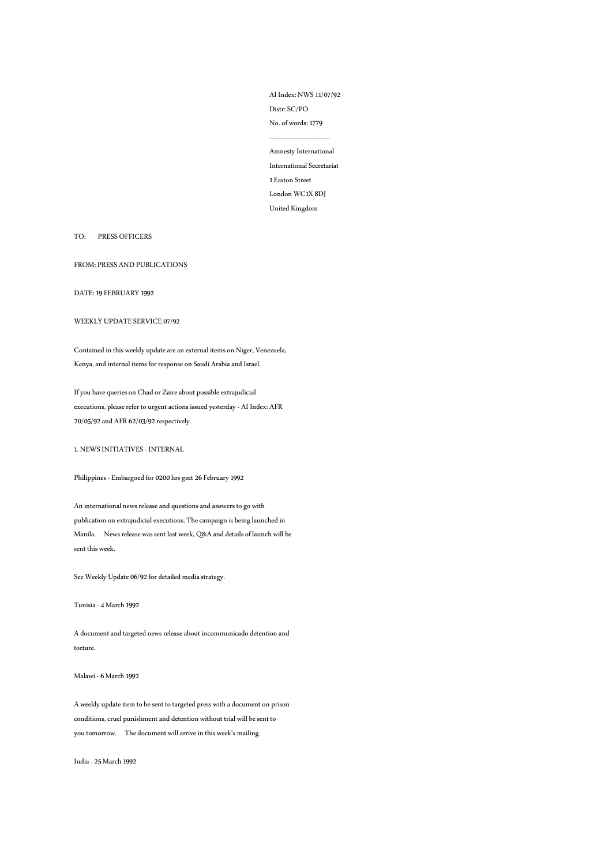AI Index: NWS 11/07/92 Distr: SC/PO No. of words: 1779 --------------------------- Amnesty International

International Secretariat 1 Easton Street London WC1X 8DJ United Kingdom

### TO: PRESS OFFICERS

FROM: PRESS AND PUBLICATIONS

DATE: 19 FEBRUARY 1992

## WEEKLY UPDATE SERVICE 07/92

Contained in this weekly update are an external items on Niger, Venezuela, Kenya, and internal items for response on Saudi Arabia and Israel.

If you have queries on Chad or Zaire about possible extrajudicial executions, please refer to urgent actions issued yesterday - AI Index: AFR 20/05/92 and AFR 62/03/92 respectively.

1. NEWS INITIATIVES - INTERNAL

Philippines -Embargoed for 0200 hrs gmt 26 February 1992

An international news release and questions and answers to go with publication on extrajudicial executions. The campaign is being launched in Manila. News release was sent last week, Q&A and details of launch will be sent this week.

See Weekly Update 06/92 for detailed media strategy.

Tunisia -4 March 1992

A document and targeted news release about incommunicado detention and torture.

Malawi -6 March 1992

A weekly update item to be sent to targeted press with a document on prison conditions, cruel punishment and detention without trial will be sent to you tomorrow. The document will arrive in this week's mailing.

India -25 March 1992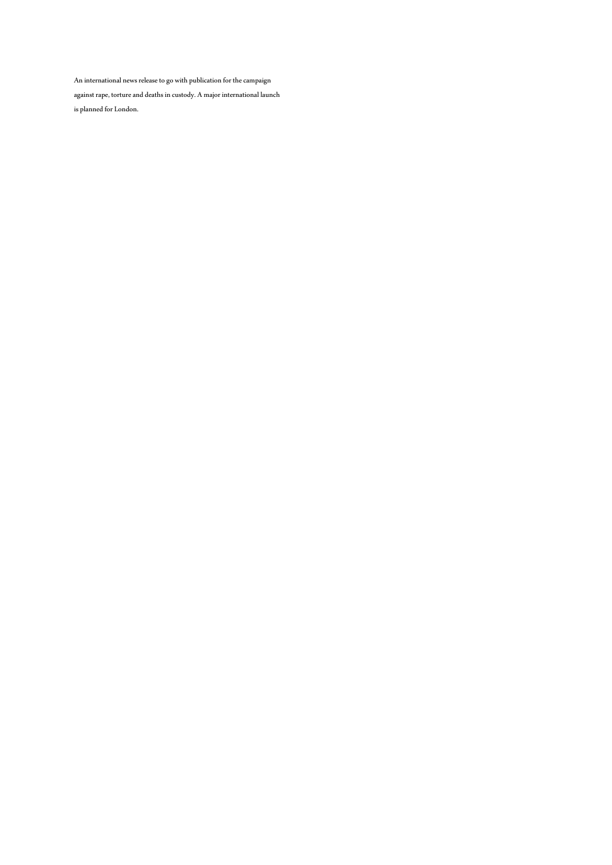An international news release to go with publication for the campaign

against rape, torture and deaths in custody. A major international launch is planned for London.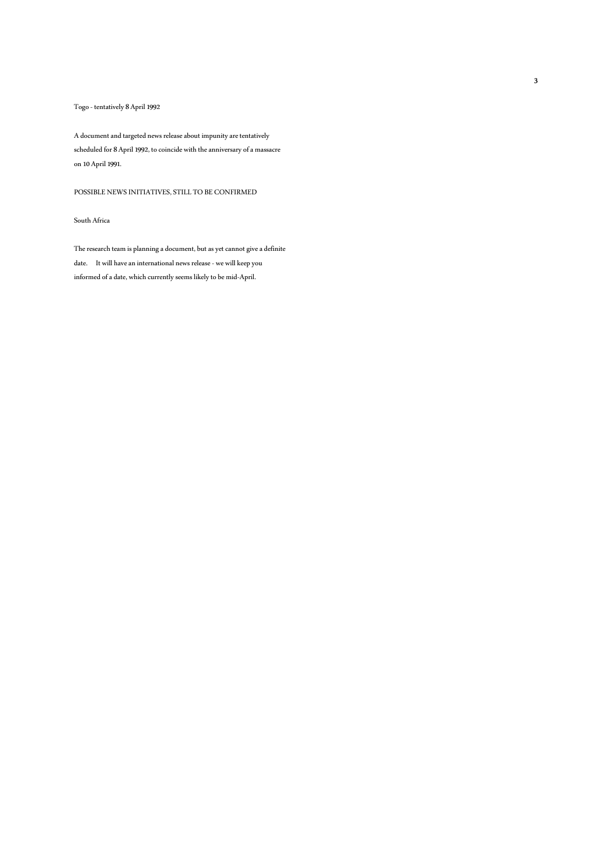## Togo - tentatively 8 April 1992

A document and targeted news release about impunity are tentatively scheduled for 8 April 1992, to coincide with the anniversary of a massacre on 10 April 1991.

POSSIBLE NEWS INITIATIVES, STILL TO BE CONFIRMED

## South Africa

The research team is planning a document, but as yet cannot give a definite date. It will have an international news release - we will keep you informed of a date, which currently seems likely to be mid-April.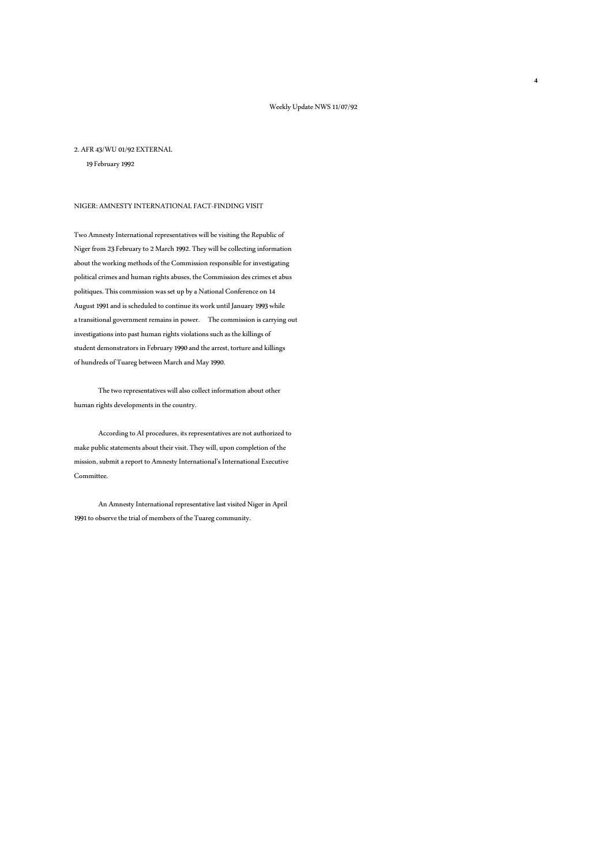#### 2. AFR 43/WU 01/92 EXTERNAL

19 February 1992

### NIGER: AMNESTY INTERNATIONAL FACT-FINDING VISIT

Two Amnesty International representatives will be visiting the Republic of Niger from 23 February to 2 March 1992. They will be collecting information about the working methods of the Commission responsible for investigating political crimes and human rights abuses, the Commission des crimes et abus politiques. This commission was set up by a National Conference on 14 August 1991 and is scheduled to continue its work until January 1993 while a transitional government remains in power. The commission is carrying out investigations into past human rights violations such as the killings of student demonstrators in February 1990 and the arrest, torture and killings of hundreds of Tuareg between March and May 1990.

 The two representatives will also collect information about other human rights developments in the country.

 According to AI procedures, its representatives are not authorized to make public statements about their visit. They will, upon completion of the mission, submit a report to Amnesty International's International Executive Committee.

 An Amnesty International representative last visited Niger in April 1991 to observe the trial of members of the Tuareg community.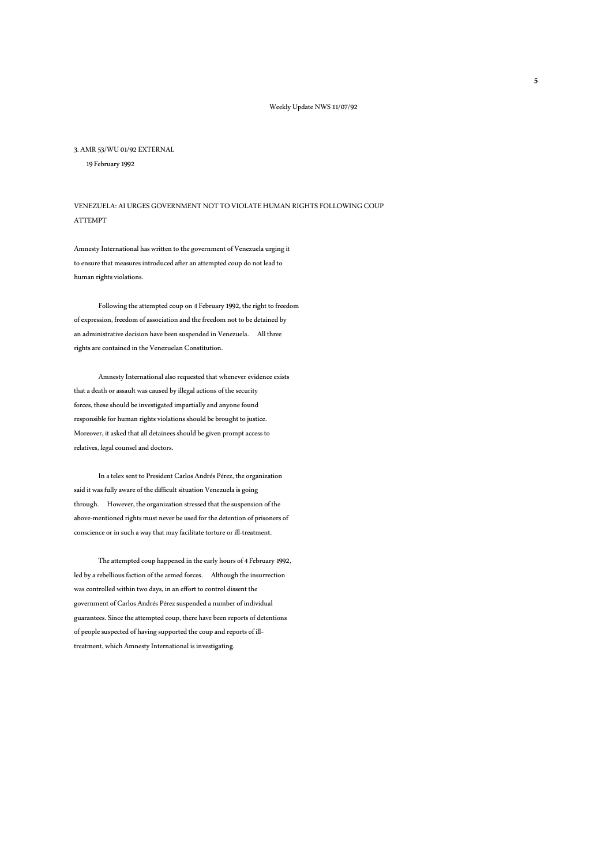#### 3. AMR 53/WU 01/92 EXTERNAL

19February 1992

VENEZUELA: AI URGES GOVERNMENT NOT TO VIOLATE HUMAN RIGHTS FOLLOWING COUP ATTEMPT

Amnesty International has written to the government of Venezuela urging it to ensure that measures introduced after an attempted coup do not lead to human rights violations.

 Following the attempted coup on 4 February 1992, the right to freedom of expression, freedom of association and the freedom not to be detained by an administrative decision have been suspended in Venezuela. All three rights are contained in the Venezuelan Constitution.

 Amnesty International also requested that whenever evidence exists that a death or assault was caused by illegal actions of the security forces, these should be investigated impartially and anyone found responsible for human rights violations should be brought to justice. Moreover, it asked that all detainees should be given prompt access to relatives, legal counsel and doctors.

 In a telex sent to President Carlos Andrés Pérez, the organization said it was fully aware of the difficult situation Venezuela is going through. However, the organization stressed that the suspension of the above-mentioned rights must never be used for the detention of prisoners of conscience or in such a way that may facilitate torture or ill-treatment.

 The attempted coup happened in the early hours of 4 February 1992, led by a rebellious faction of the armed forces. Although the insurrection was controlled within two days, in an effort to control dissent the government of Carlos Andrés Pérez suspended a number of individual guarantees. Since the attempted coup, there have been reports of detentions of people suspected of having supported the coup and reports of illtreatment, which Amnesty International is investigating.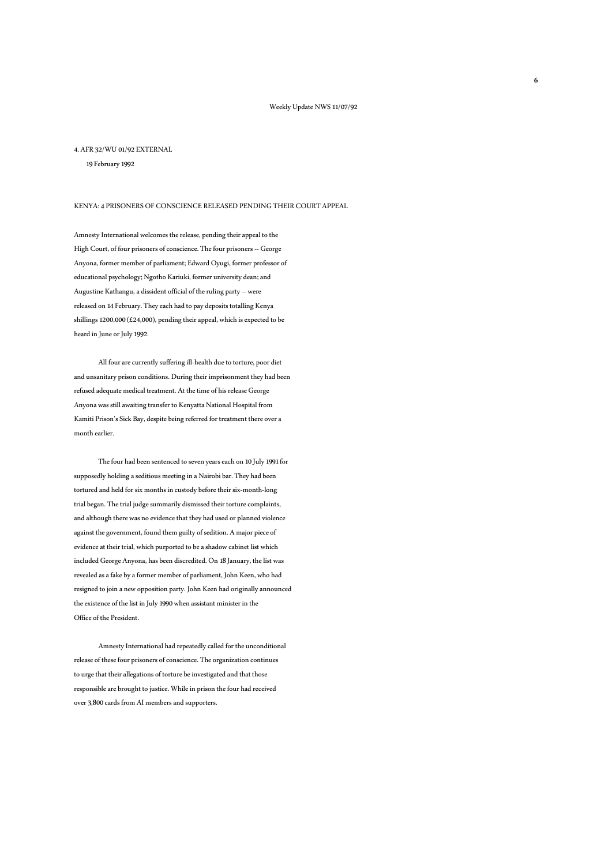#### 4. AFR 32/WU 01/92 EXTERNAL

19 February 1992

### KENYA: 4 PRISONERS OF CONSCIENCE RELEASED PENDING THEIR COURT APPEAL

Amnesty International welcomes the release, pending their appeal to the High Court, of four prisoners of conscience. The four prisoners -- George Anyona, former member of parliament; Edward Oyugi, former professor of educational psychology; Ngotho Kariuki, former university dean; and Augustine Kathangu, a dissident official of the ruling party -- were released on 14 February. They each had to pay deposits totalling Kenya shillings 1200,000 (£24,000), pending their appeal, which is expected to be heard in June or July 1992.

 All four are currently suffering ill-health due to torture, poor diet and unsanitary prison conditions. During their imprisonment they had been refused adequate medical treatment. At the time of his release George Anyona was still awaiting transfer to Kenyatta National Hospital from Kamiti Prison's Sick Bay, despite being referred for treatment there over a month earlier.

 The four had been sentenced to seven years each on 10 July 1991 for supposedly holding a seditious meeting in a Nairobi bar. They had been tortured and held for six months in custody before their six-month-long trial began. The trial judge summarily dismissed their torture complaints, and although there was no evidence that they had used or planned violence against the government, found them guilty of sedition. A major piece of evidence at their trial, which purported to be a shadow cabinet list which included George Anyona, has been discredited. On 18 January, the list was revealed as a fake by a former member of parliament, John Keen, who had resigned to join a new opposition party. John Keen had originally announced the existence of the list in July 1990 when assistant minister in the Office of the President.

Amnesty International had repeatedly called for the unconditional release of these four prisoners of conscience. The organization continues to urge that their allegations of torture be investigated and that those responsible are brought to justice. While in prison the four had received over 3,800 cards from AI members and supporters.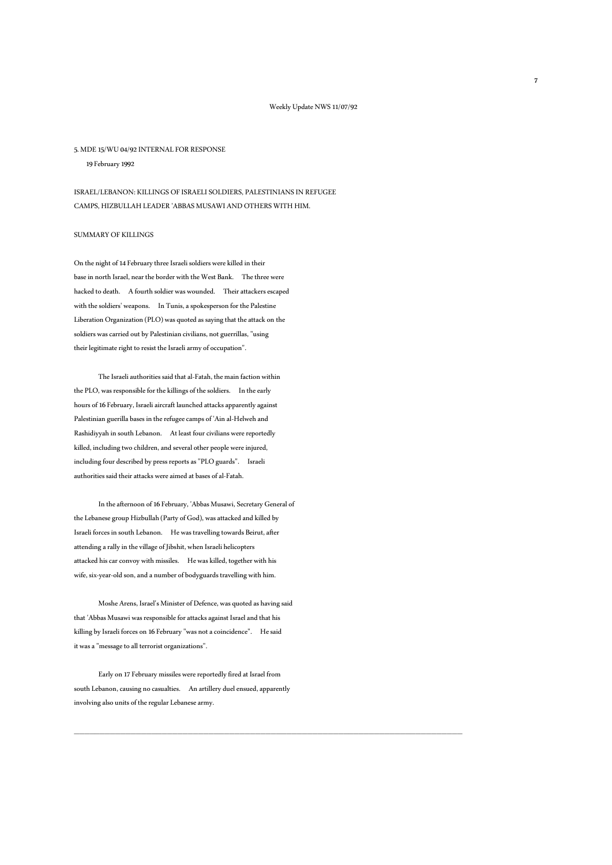#### 5. MDE 15/WU 04/92 INTERNAL FOR RESPONSE

19 February 1992

ISRAEL/LEBANON: KILLINGS OF ISRAELI SOLDIERS, PALESTINIANS IN REFUGEE CAMPS, HIZBULLAH LEADER 'ABBAS MUSAWI AND OTHERS WITH HIM.

## SUMMARY OF KILLINGS

On the night of 14 February three Israeli soldiers were killed in their base in north Israel, near the border with the West Bank. The three were hacked to death. A fourth soldier was wounded. Their attackers escaped with the soldiers' weapons. In Tunis, a spokesperson for the Palestine Liberation Organization (PLO) was quoted as saying that the attack on the soldiers was carried out by Palestinian civilians, not guerrillas, "using their legitimate right to resist the Israeli army of occupation".

 The Israeli authorities said that al-Fatah, the main faction within the PLO, was responsible for the killings of the soldiers. In the early hours of 16 February, Israeli aircraft launched attacks apparently against Palestinian guerilla bases in the refugee camps of 'Ain al-Helweh and Rashidiyyah in south Lebanon. At least four civilians were reportedly killed, including two children, and several other people were injured, including four described by press reports as "PLO guards". Israeli authorities said their attacks were aimed at bases of al-Fatah.

In the afternoon of 16 February, 'Abbas Musawi, Secretary General of the Lebanese group Hizbullah (Party of God), was attacked and killed by Israeli forces in south Lebanon. He was travelling towards Beirut, after attending a rally in the village of Jibshit, when Israeli helicopters attacked his car convoy with missiles. He was killed, together with his wife, six-year-old son, and a number of bodyguards travelling with him.

 Moshe Arens, Israel's Minister of Defence, was quoted as having said that 'Abbas Musawi was responsible for attacks against Israel and that his killing by Israeli forces on 16 February "was not a coincidence". He said it was a "message to all terrorist organizations".

 Early on 17 February missiles were reportedly fired at Israel from south Lebanon, causing no casualties. An artillery duel ensued, apparently involving also units of the regular Lebanese army.

\_\_\_\_\_\_\_\_\_\_\_\_\_\_\_\_\_\_\_\_\_\_\_\_\_\_\_\_\_\_\_\_\_\_\_\_\_\_\_\_\_\_\_\_\_\_\_\_\_\_\_\_\_\_\_\_\_\_\_\_\_\_\_\_\_\_\_\_\_\_\_\_\_\_\_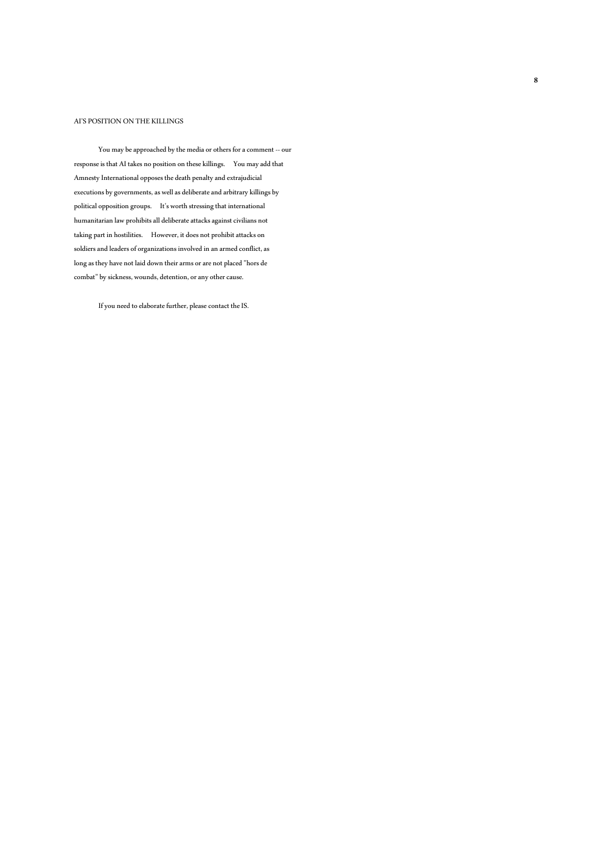## AI'S POSITION ON THE KILLINGS

You may be approached by the media or others for a comment -- our response is that AI takes no position on these killings. You may add that Amnesty International opposes the death penalty and extrajudicial executions by governments, as well as deliberate and arbitrary killings by political opposition groups. It's worth stressing that international humanitarian law prohibits all deliberate attacks against civilians not taking part in hostilities. However, it does not prohibit attacks on soldiers and leaders of organizations involved in an armed conflict, as long as they have not laid down their arms or are not placed "hors de combat" by sickness, wounds, detention, or any other cause.

If you need to elaborate further, please contact the IS.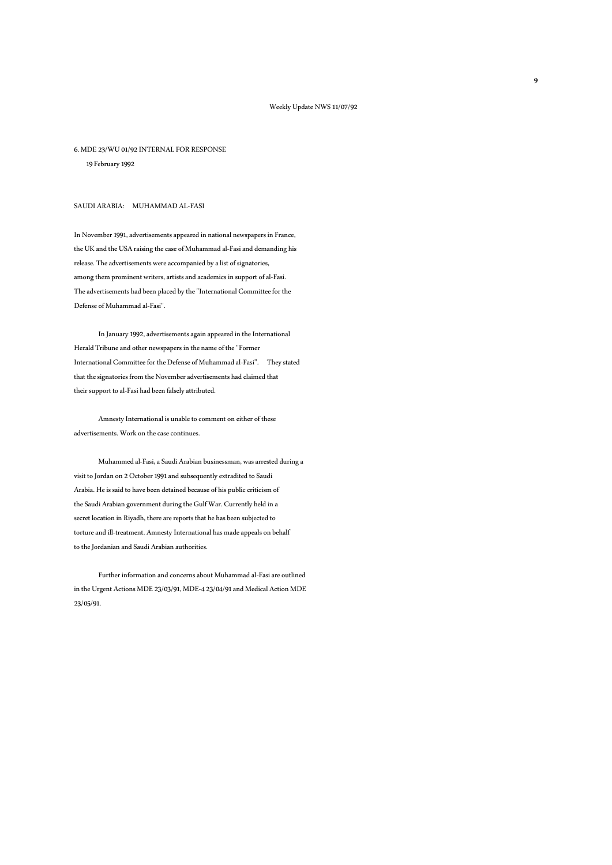### 6. MDE 23/WU 01/92 INTERNAL FOR RESPONSE

19 February 1992

## SAUDI ARABIA: MUHAMMAD AL-FASI

In November 1991, advertisements appeared in national newspapers in France, the UK and the USA raising the case of Muhammad al-Fasi and demanding his release. The advertisements were accompanied by a list of signatories, among them prominent writers, artists and academics in support of al-Fasi. The advertisements had been placed by the "International Committee for the Defense of Muhammad al-Fasi".

 In January 1992, advertisements again appeared in the International Herald Tribune and other newspapers in the name of the "Former International Committee for the Defense of Muhammad al-Fasi". They stated that the signatories from the November advertisements had claimed that their support to al-Fasi had been falsely attributed.

 Amnesty International is unable to comment on either of these advertisements. Work on the case continues.

 Muhammed al-Fasi, a Saudi Arabian businessman, was arrested during a visit to Jordan on 2 October 1991 and subsequently extradited to Saudi Arabia. He is said to have been detained because of his public criticism of the Saudi Arabian government during the Gulf War. Currently held in a secret location in Riyadh, there are reports that he has been subjected to torture and ill-treatment. Amnesty International has made appeals on behalf to the Jordanian and Saudi Arabian authorities.

 Further information and concerns about Muhammad al-Fasi are outlined in the Urgent Actions MDE 23/03/91, MDE-4 23/04/91 and Medical Action MDE 23/05/91.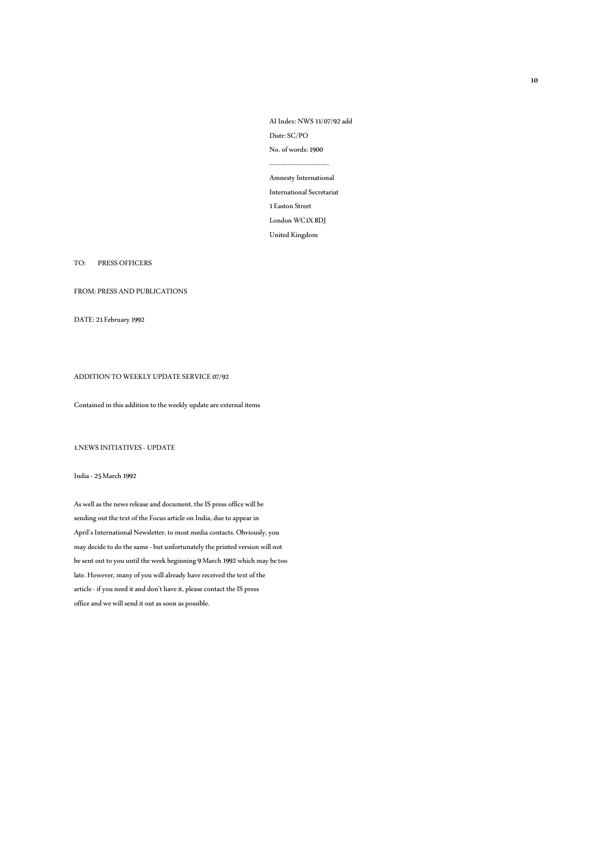AI Index: NWS 11/07/92 add Distr: SC/PO No.of words: 1900 --------------------------- Amnesty International International Secretariat 1 Easton Street London WC1X 8DJ United Kingdom

## TO: PRESS OFFICERS

FROM: PRESS AND PUBLICATIONS

DATE: 21 February 1992

## ADDITION TO WEEKLY UPDATE SERVICE 07/92

## Contained in this addition to the weekly update are external items

1.NEWS INITIATIVES - UPDATE

### India -25 March 1992

As well as the news release and document, the IS press office will be sending out the text of the Focus article on India, due to appear in April's International Newsletter, to most media contacts. Obviously, you may decide to do the same -but unfortunately the printed version will not be sent out to you until the week beginning 9 March 1992 which may be too late. However, many of you will already have received the text of the article - if you need it and don't have it, please contact the IS press office and we will send it out as soon as possible.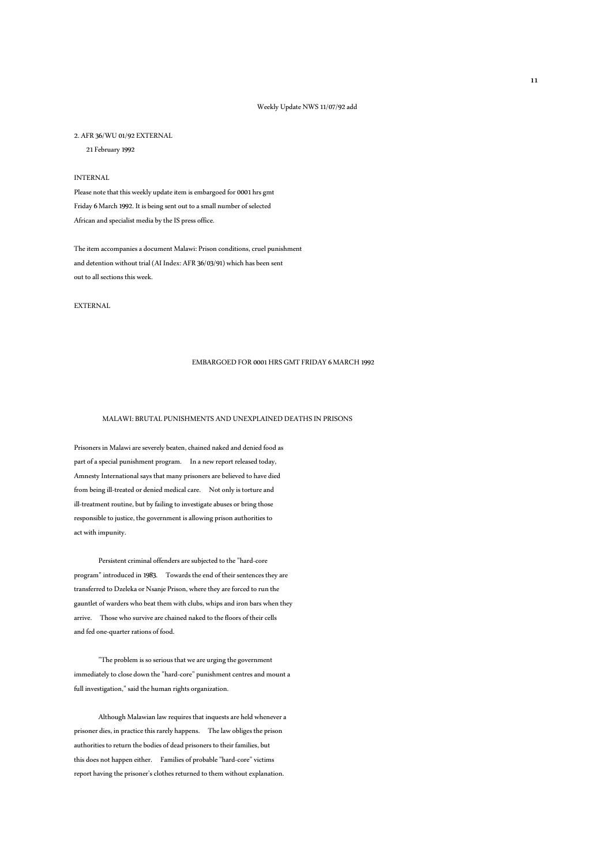### Weekly Update NWS 11/07/92 add

#### 2. AFR 36/WU 01/92 EXTERNAL

21 February 1992

## INTERNAL

Please note that this weekly update item is embargoed for 0001 hrs gmt Friday 6 March 1992. It is being sent out to a small number of selected African and specialist media by the IS press office.

The item accompanies a document Malawi: Prison conditions, cruel punishment and detention without trial (AI Index: AFR 36/03/91) which has been sent out to all sections this week.

EXTERNAL

### EMBARGOED FOR 0001 HRS GMT FRIDAY 6 MARCH 1992

### MALAWI: BRUTAL PUNISHMENTS AND UNEXPLAINED DEATHS IN PRISONS

Prisoners in Malawi are severely beaten, chained naked and denied food as part of a special punishment program. In a new report released today, Amnesty International says that many prisoners are believed to have died from being ill-treated or denied medical care. Not only is torture and ill-treatment routine, but by failing to investigate abuses or bring those responsible to justice, the government is allowing prison authorities to act with impunity.

 Persistent criminal offenders are subjected to the "hard-core program" introduced in 1983. Towards the end of their sentences they are transferred to Dzeleka or Nsanje Prison, where they are forced to run the gauntlet of warders who beat them with clubs, whips and iron bars when they arrive. Those who survive are chained naked to the floors of their cells and fed one-quarter rations of food.

 "The problem is so serious that we are urging the government immediately to close down the "hard-core" punishment centres and mount a full investigation," said the human rights organization.

 Although Malawian law requires that inquests are held whenever a prisoner dies, in practice this rarely happens. The law obliges the prison authorities to return the bodies of dead prisoners to their families, but this does not happen either. Families of probable "hard-core" victims report having the prisoner's clothes returned to them without explanation.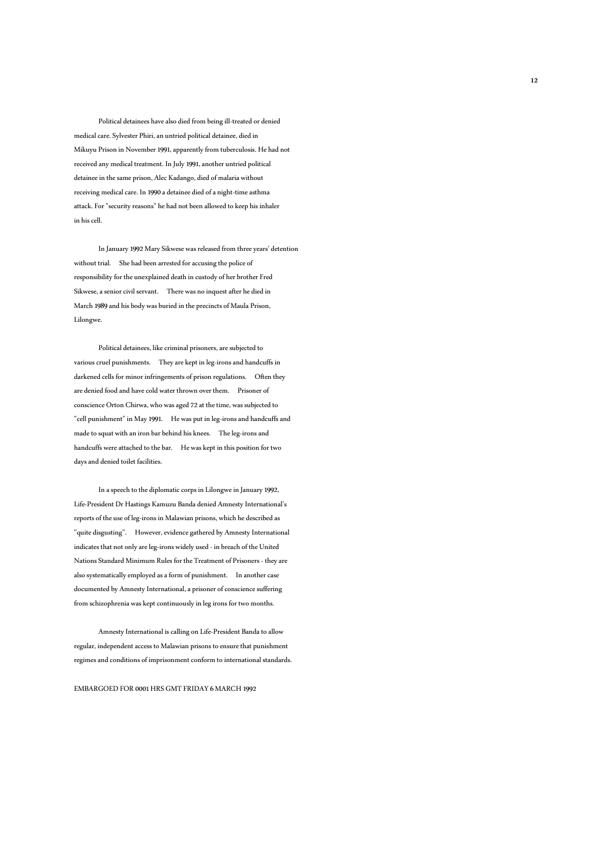Political detainees have also died from being ill-treated or denied medical care. Sylvester Phiri, an untried political detainee, died in Mikuyu Prison in November 1991, apparently from tuberculosis. He had not received any medical treatment. In July 1991, another untried political detainee in the same prison, Alec Kadango, died of malaria without receiving medical care. In 1990 a detainee died of a night-time asthma attack. For "security reasons" he had not been allowed to keep his inhaler in his cell.

 In January 1992 Mary Sikwese was released from three years' detention without trial. She had been arrested for accusing the police of responsibility for the unexplained death in custody of her brother Fred Sikwese, a senior civil servant. There was no inquest after he died in March 1989 and his body was buried in the precincts of Maula Prison, Lilongwe.

 Political detainees, like criminal prisoners, are subjected to various cruel punishments. They are kept in leg-irons and handcuffs in darkened cells for minor infringements of prison regulations. Often they are denied food and have cold water thrown over them. Prisoner of conscience Orton Chirwa, who was aged 72 at the time, was subjected to "cell punishment" in May 1991. He was put in leg-irons and handcuffs and made to squat with an iron bar behind his knees. The leg-irons and handcuffs were attached to the bar. He was kept in this position for two days and denied toilet facilities.

 In a speech to the diplomatic corps in Lilongwe in January 1992, Life-President Dr Hastings Kamuzu Banda denied Amnesty International's reports of the use of leg-irons in Malawian prisons, which he described as "quite disgusting". However, evidence gathered by Amnesty International indicates that not only are leg-irons widely used - in breach of the United Nations Standard Minimum Rules for the Treatment of Prisoners - they are also systematically employed as a form of punishment. In another case documented by Amnesty International, a prisoner of conscience suffering from schizophrenia was kept continuously in leg irons for two months.

 Amnesty International is calling on Life-President Banda to allow regular, independent access to Malawian prisons to ensure that punishment regimes and conditions of imprisonment conform to international standards.

EMBARGOED FOR 0001 HRS GMT FRIDAY 6 MARCH 1992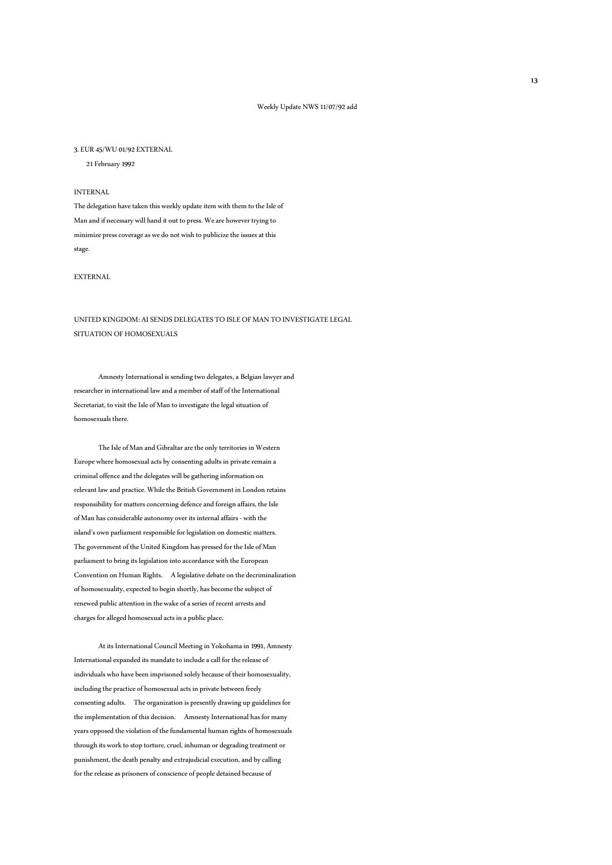#### 3. EUR 45/WU 01/92 EXTERNAL

21 February 1992

### INTERNAL

The delegation have taken this weekly update item with them to the Isle of Man and if necessary will hand it out to press. We are however trying to minimize press coverage as we do not wish to publicize the issues at this stage.

## EXTERNAL

# UNITED KINGDOM: AI SENDS DELEGATES TO ISLE OF MAN TO INVESTIGATE LEGAL SITUATION OF HOMOSEXUALS

 Amnesty International is sending two delegates, a Belgian lawyer and researcher in international law and a member of staff of the International Secretariat, to visit the Isle of Man to investigate the legal situation of homosexuals there.

 The Isle of Man and Gibraltar are the only territories in Western Europe where homosexual acts by consenting adults in private remain a criminal offence and the delegates will be gathering information on relevant law and practice. While the British Government in London retains responsibility for matters concerning defence and foreign affairs, the Isle of Man has considerable autonomy over its internal affairs - with the island's own parliament responsible for legislation on domestic matters. The government of the United Kingdom has pressed for the Isle of Man parliament to bring its legislation into accordance with the European Convention on Human Rights. A legislative debate on the decriminalization of homosexuality, expected to begin shortly, has become the subject of renewed public attention in the wake of a series of recent arrests and charges for alleged homosexual acts in a public place.

 At its International Council Meeting in Yokohama in 1991, Amnesty International expanded its mandate to include a call for the release of individuals who have been imprisoned solely because of their homosexuality, including the practice of homosexual acts in private between freely consenting adults. The organization is presently drawing up guidelines for the implementation of this decision. Amnesty International has for many years opposed the violation of the fundamental human rights of homosexuals through its work to stop torture, cruel, inhuman or degrading treatment or punishment, the death penalty and extrajudicial execution, and by calling for the release as prisoners of conscience of people detained because of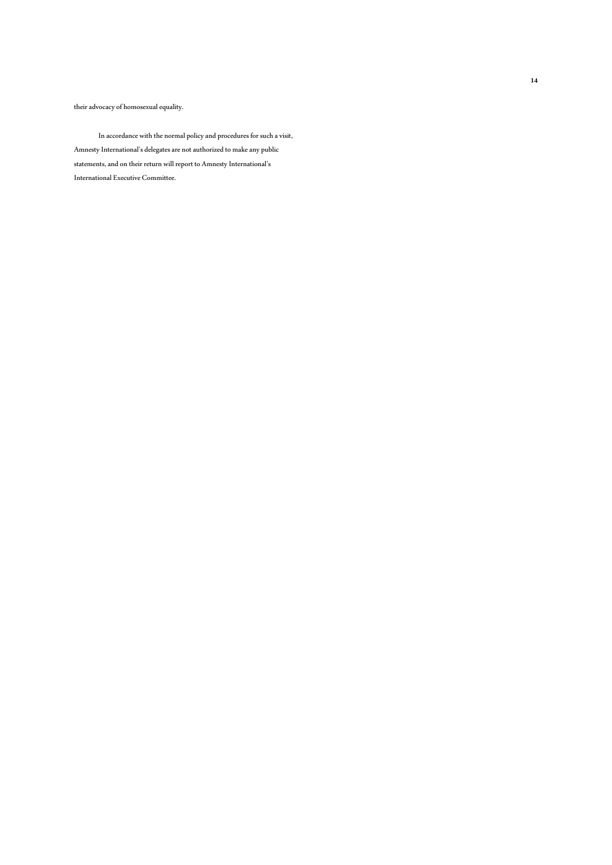their advocacy of homosexual equality.

 In accordance with the normal policy and procedures for such a visit, Amnesty International's delegates are not authorized to make any public statements, and on their return will report to Amnesty International's International Executive Committee.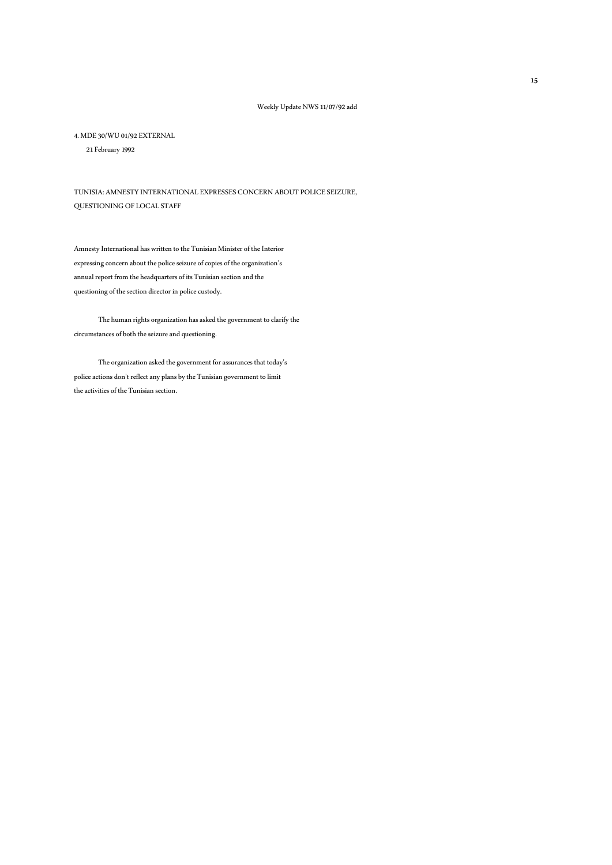4. MDE 30/WU 01/92 EXTERNAL

21 February 1992

TUNISIA: AMNESTY INTERNATIONAL EXPRESSES CONCERN ABOUT POLICE SEIZURE, QUESTIONING OF LOCAL STAFF

Amnesty International has written to the Tunisian Minister of the Interior expressing concern about the police seizure of copies of the organization's annual report from the headquarters of its Tunisian section and the questioning of the section director in police custody.

 The human rights organization has asked the government to clarify the circumstances of both the seizure and questioning.

 The organization asked the government for assurances that today's police actions don't reflect any plans by the Tunisian government to limit the activities of the Tunisian section.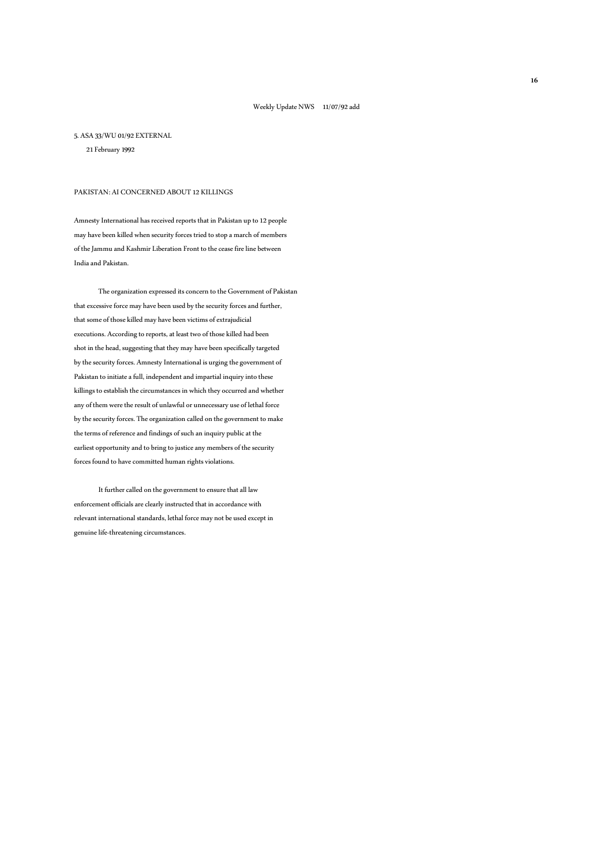#### 5. ASA 33/WU 01/92 EXTERNAL

21 February 1992

## PAKISTAN: AI CONCERNED ABOUT 12 KILLINGS

Amnesty International has received reports that in Pakistan up to 12 people may have been killed when security forces tried to stop a march of members of the Jammu and Kashmir Liberation Front to the cease fire line between India and Pakistan.

 The organization expressed its concern to the Government of Pakistan that excessive force may have been used by the security forces and further, that some of those killed may have been victims of extrajudicial executions. According to reports, at least two of those killed had been shot in the head, suggesting that they may have been specifically targeted by the security forces. Amnesty International is urging the government of Pakistan to initiate a full, independent and impartial inquiry into these killings to establish the circumstances in which they occurred and whether any of them were the result of unlawful or unnecessary use of lethal force by the security forces. The organization called on the government to make the terms of reference and findings of such an inquiry public at the earliest opportunity and to bring to justice any members of the security forces found to have committed human rights violations.

 It further called on the government to ensure that all law enforcement officials are clearly instructed that in accordance with relevant international standards, lethal force may not be used except in genuine life-threatening circumstances.